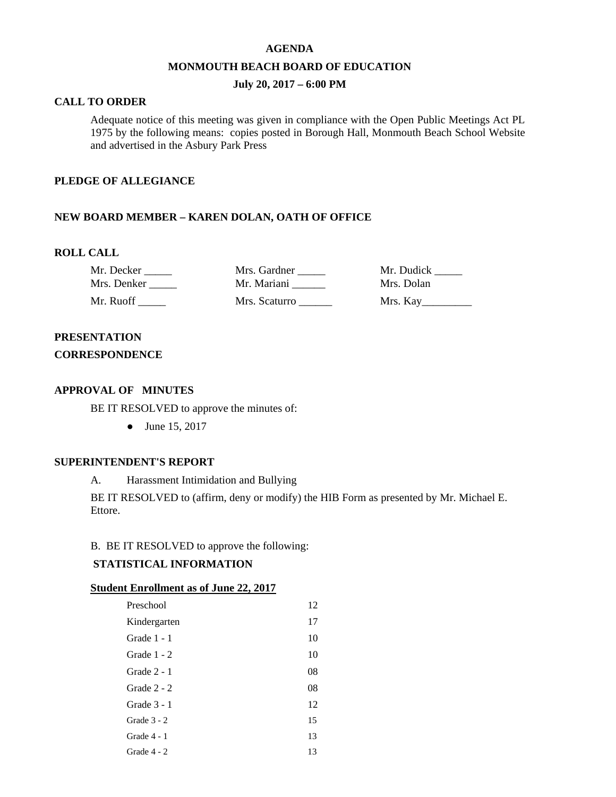#### **AGENDA**

### **MONMOUTH BEACH BOARD OF EDUCATION**

## **July 20, 2017 – 6:00 PM**

## **CALL TO ORDER**

Adequate notice of this meeting was given in compliance with the Open Public Meetings Act PL 1975 by the following means: copies posted in Borough Hall, Monmouth Beach School Website and advertised in the Asbury Park Press

### **PLEDGE OF ALLEGIANCE**

## **NEW BOARD MEMBER – KAREN DOLAN, OATH OF OFFICE**

### **ROLL CALL**

Mr. Decker \_\_\_\_\_ Mrs. Gardner \_\_\_\_\_ Mr. Dudick \_\_\_\_\_ Mrs. Denker \_\_\_\_\_ Mr. Mariani \_\_\_\_\_\_ Mrs. Dolan Mr. Ruoff \_\_\_\_\_\_ Mrs. Scaturro \_\_\_\_\_\_ Mrs. Kay\_\_\_\_\_\_\_\_

# **PRESENTATION**

## **CORRESPONDENCE**

## **APPROVAL OF MINUTES**

BE IT RESOLVED to approve the minutes of:

● June 15, 2017

## **SUPERINTENDENT'S REPORT**

A. Harassment Intimidation and Bullying

BE IT RESOLVED to (affirm, deny or modify) the HIB Form as presented by Mr. Michael E. Ettore.

### B. BE IT RESOLVED to approve the following:

## **STATISTICAL INFORMATION**

### **Student Enrollment as of June 22, 2017**

| Preschool     | 12 |
|---------------|----|
| Kindergarten  | 17 |
| Grade 1 - 1   | 10 |
| Grade 1 - 2   | 10 |
| Grade $2 - 1$ | 08 |
| Grade $2 - 2$ | 08 |
| Grade $3 - 1$ | 12 |
| Grade $3 - 2$ | 15 |
| Grade 4 - 1   | 13 |
| Grade 4 - 2   | 13 |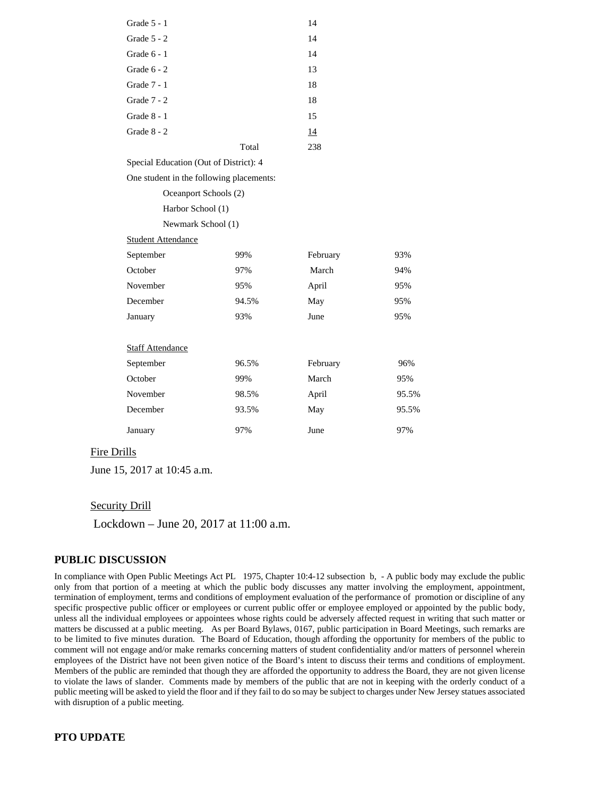| Grade $5 - 1$ |       | 14  |
|---------------|-------|-----|
| Grade $5 - 2$ |       | 14  |
| Grade $6 - 1$ |       | 14  |
| Grade $6 - 2$ |       | 13  |
| Grade 7 - 1   |       | 18  |
| Grade $7 - 2$ |       | 18  |
| Grade 8 - 1   |       | 15  |
| Grade $8 - 2$ |       | 14  |
|               | Total | 238 |
|               |       |     |

Special Education (Out of District): 4

One student in the following placements:

| Oceanport Schools (2) |
|-----------------------|
| Harbor School (1)     |
| Newmark School (1)    |

Student Attendance

| September               | 99%   | February | 93%   |
|-------------------------|-------|----------|-------|
| October                 | 97%   | March    | 94%   |
| November                | 95%   | April    | 95%   |
| December                | 94.5% | May      | 95%   |
| January                 | 93%   | June     | 95%   |
|                         |       |          |       |
| <b>Staff Attendance</b> |       |          |       |
| September               | 96.5% | February | 96%   |
| October                 | 99%   | March    | 95%   |
| November                | 98.5% | April    | 95.5% |
| December                | 93.5% | May      | 95.5% |
| January                 | 97%   | June     | 97%   |

### Fire Drills

June 15, 2017 at 10:45 a.m.

#### **Security Drill**

Lockdown – June 20, 2017 at 11:00 a.m.

## **PUBLIC DISCUSSION**

In compliance with Open Public Meetings Act PL 1975, Chapter 10:4-12 subsection b, - A public body may exclude the public only from that portion of a meeting at which the public body discusses any matter involving the employment, appointment, termination of employment, terms and conditions of employment evaluation of the performance of promotion or discipline of any specific prospective public officer or employees or current public offer or employee employed or appointed by the public body, unless all the individual employees or appointees whose rights could be adversely affected request in writing that such matter or matters be discussed at a public meeting. As per Board Bylaws, 0167, public participation in Board Meetings, such remarks are to be limited to five minutes duration. The Board of Education, though affording the opportunity for members of the public to comment will not engage and/or make remarks concerning matters of student confidentiality and/or matters of personnel wherein employees of the District have not been given notice of the Board's intent to discuss their terms and conditions of employment. Members of the public are reminded that though they are afforded the opportunity to address the Board, they are not given license to violate the laws of slander. Comments made by members of the public that are not in keeping with the orderly conduct of a public meeting will be asked to yield the floor and if they fail to do so may be subject to charges under New Jersey statues associated with disruption of a public meeting.

## **PTO UPDATE**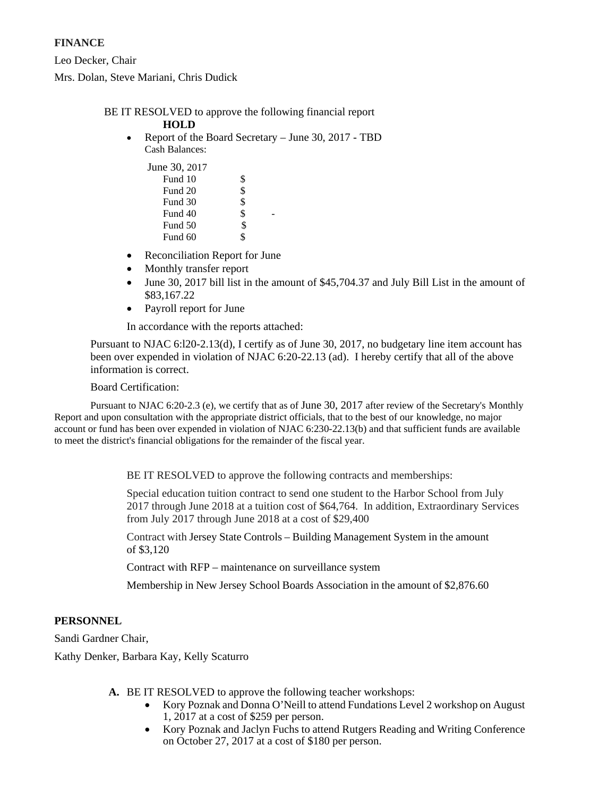# **FINANCE**

Leo Decker, Chair Mrs. Dolan, Steve Mariani, Chris Dudick

# BE IT RESOLVED to approve the following financial report

## **HOLD**

• Report of the Board Secretary – June 30, 2017 - TBD Cash Balances:

| June 30, 2017 |    |
|---------------|----|
| Fund 10       | \$ |
| Fund 20       | \$ |
| Fund 30       | \$ |
| Fund 40       | \$ |
| Fund 50       | \$ |
| Fund 60       |    |

- Reconciliation Report for June
- Monthly transfer report
- June 30, 2017 bill list in the amount of \$45,704.37 and July Bill List in the amount of \$83,167.22
- Payroll report for June

In accordance with the reports attached:

Pursuant to NJAC 6:l20-2.13(d), I certify as of June 30, 2017, no budgetary line item account has been over expended in violation of NJAC 6:20-22.13 (ad). I hereby certify that all of the above information is correct.

# Board Certification:

Pursuant to NJAC 6:20-2.3 (e), we certify that as of June 30, 2017 after review of the Secretary's Monthly Report and upon consultation with the appropriate district officials, that to the best of our knowledge, no major account or fund has been over expended in violation of NJAC 6:230-22.13(b) and that sufficient funds are available to meet the district's financial obligations for the remainder of the fiscal year.

BE IT RESOLVED to approve the following contracts and memberships:

Special education tuition contract to send one student to the Harbor School from July 2017 through June 2018 at a tuition cost of \$64,764. In addition, Extraordinary Services from July 2017 through June 2018 at a cost of \$29,400

Contract with Jersey State Controls – Building Management System in the amount of \$3,120

Contract with RFP – maintenance on surveillance system

Membership in New Jersey School Boards Association in the amount of \$2,876.60

# **PERSONNEL**

Sandi Gardner Chair,

Kathy Denker, Barbara Kay, Kelly Scaturro

- **A.** BE IT RESOLVED to approve the following teacher workshops:
	- Kory Poznak and Donna O'Neill to attend Fundations Level 2 workshop on August 1, 2017 at a cost of \$259 per person.
	- Kory Poznak and Jaclyn Fuchs to attend Rutgers Reading and Writing Conference on October 27, 2017 at a cost of \$180 per person.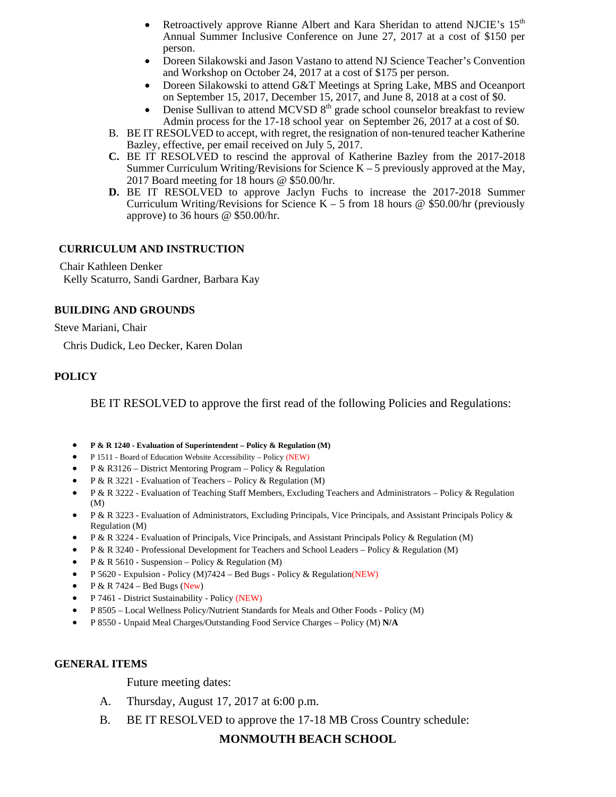- Retroactively approve Rianne Albert and Kara Sheridan to attend NJCIE's 15<sup>th</sup> Annual Summer Inclusive Conference on June 27, 2017 at a cost of \$150 per person.
- Doreen Silakowski and Jason Vastano to attend NJ Science Teacher's Convention and Workshop on October 24, 2017 at a cost of \$175 per person.
- Doreen Silakowski to attend G&T Meetings at Spring Lake, MBS and Oceanport on September 15, 2017, December 15, 2017, and June 8, 2018 at a cost of \$0.
- Denise Sullivan to attend MCVSD 8<sup>th</sup> grade school counselor breakfast to review Admin process for the 17-18 school year on September 26, 2017 at a cost of \$0.
- B. BE IT RESOLVED to accept, with regret, the resignation of non-tenured teacher Katherine Bazley, effective, per email received on July 5, 2017.
- **C.** BE IT RESOLVED to rescind the approval of Katherine Bazley from the 2017-2018 Summer Curriculum Writing/Revisions for Science  $K - 5$  previously approved at the May, 2017 Board meeting for 18 hours @ \$50.00/hr.
- **D.** BE IT RESOLVED to approve Jaclyn Fuchs to increase the 2017-2018 Summer Curriculum Writing/Revisions for Science K – 5 from 18 hours @ \$50.00/hr (previously approve) to 36 hours @ \$50.00/hr.

# **CURRICULUM AND INSTRUCTION**

Chair Kathleen Denker Kelly Scaturro, Sandi Gardner, Barbara Kay

# **BUILDING AND GROUNDS**

Steve Mariani, Chair

Chris Dudick, Leo Decker, Karen Dolan

# **POLICY**

BE IT RESOLVED to approve the first read of the following Policies and Regulations:

- **P & R 1240 - Evaluation of Superintendent – Policy & Regulation (M)**
- P 1511 Board of Education Website Accessibility Policy (NEW)
- P & R3126 District Mentoring Program Policy & Regulation
- P & R 3221 Evaluation of Teachers Policy & Regulation (M)
- P & R 3222 Evaluation of Teaching Staff Members, Excluding Teachers and Administrators Policy & Regulation (M)
- P & R 3223 Evaluation of Administrators, Excluding Principals, Vice Principals, and Assistant Principals Policy & Regulation (M)
- P & R 3224 Evaluation of Principals, Vice Principals, and Assistant Principals Policy & Regulation (M)
- P & R 3240 Professional Development for Teachers and School Leaders Policy & Regulation (M)
- P & R 5610 Suspension Policy & Regulation (M)
- P 5620 Expulsion Policy (M)7424 Bed Bugs Policy & Regulation(NEW)
- P & R 7424 Bed Bugs (New)
- P 7461 District Sustainability Policy (NEW)
- P 8505 Local Wellness Policy/Nutrient Standards for Meals and Other Foods Policy (M)
- P 8550 Unpaid Meal Charges/Outstanding Food Service Charges Policy (M) **N/A**

# **GENERAL ITEMS**

Future meeting dates:

- A. Thursday, August 17, 2017 at 6:00 p.m.
- B. BE IT RESOLVED to approve the 17-18 MB Cross Country schedule:

# **MONMOUTH BEACH SCHOOL**